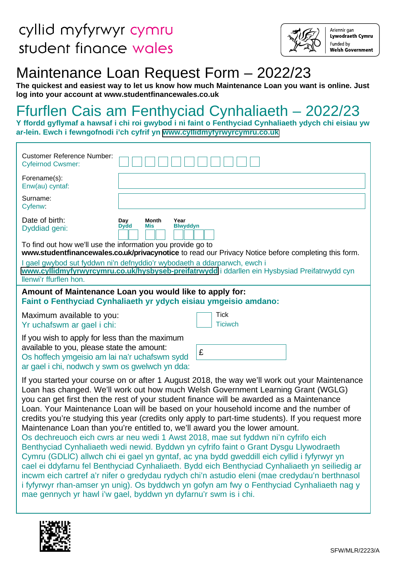

Ariennir gan Lywodraeth Cymru Funded by **Welsh Government** 

# Maintenance Loan Request Form – 2022/23

**The quickest and easiest way to let us know how much Maintenance Loan you want is online. Just log into your account at www.studentfinancewales.co.uk** 

# Ffurflen Cais am Fenthyciad Cynhaliaeth – 2022/23

**Y ffordd gyflymaf a hawsaf i chi roi gwybod i ni faint o Fenthyciad Cynhaliaeth ydych chi eisiau yw ar-lein. Ewch i fewngofnodi i'ch cyfrif yn [www.cyllidmyfyrwyrcymru.co.uk](https://www.cyllidmyfyrwyrcymru.co.uk)**

| Customer Reference Number:<br><b>Cyfeirnod Cwsmer:</b>                                                                                                                                                                                                                                                                                                                                                                                                                                                                                                                                                                                                                                                                                                                                                                                                                                                                                                                                                                                                                                                                                                                                                 |
|--------------------------------------------------------------------------------------------------------------------------------------------------------------------------------------------------------------------------------------------------------------------------------------------------------------------------------------------------------------------------------------------------------------------------------------------------------------------------------------------------------------------------------------------------------------------------------------------------------------------------------------------------------------------------------------------------------------------------------------------------------------------------------------------------------------------------------------------------------------------------------------------------------------------------------------------------------------------------------------------------------------------------------------------------------------------------------------------------------------------------------------------------------------------------------------------------------|
| Forename(s):<br>Enw(au) cyntaf:                                                                                                                                                                                                                                                                                                                                                                                                                                                                                                                                                                                                                                                                                                                                                                                                                                                                                                                                                                                                                                                                                                                                                                        |
| Surname:<br>Cyfenw:                                                                                                                                                                                                                                                                                                                                                                                                                                                                                                                                                                                                                                                                                                                                                                                                                                                                                                                                                                                                                                                                                                                                                                                    |
| Date of birth:<br>Day<br>Month<br>Year<br><b>Dydd</b><br><b>Blwyddyn</b><br>Mis<br>Dyddiad geni:                                                                                                                                                                                                                                                                                                                                                                                                                                                                                                                                                                                                                                                                                                                                                                                                                                                                                                                                                                                                                                                                                                       |
| To find out how we'll use the information you provide go to<br>www.studentfinancewales.co.uk/privacynotice to read our Privacy Notice before completing this form.                                                                                                                                                                                                                                                                                                                                                                                                                                                                                                                                                                                                                                                                                                                                                                                                                                                                                                                                                                                                                                     |
| I gael gwybod sut fyddwn ni'n defnyddio'r wybodaeth a ddarparwch, ewch i<br>www.cyllidmyfyrwyrcymru.co.uk/hysbyseb-preifatrwydd i ddarllen ein Hysbysiad Preifatrwydd cyn<br>llenwi'r ffurflen hon.                                                                                                                                                                                                                                                                                                                                                                                                                                                                                                                                                                                                                                                                                                                                                                                                                                                                                                                                                                                                    |
| Amount of Maintenance Loan you would like to apply for:<br>Faint o Fenthyciad Cynhaliaeth yr ydych eisiau ymgeisio amdano:                                                                                                                                                                                                                                                                                                                                                                                                                                                                                                                                                                                                                                                                                                                                                                                                                                                                                                                                                                                                                                                                             |
| Tick<br>Maximum available to you:<br>Yr uchafswm ar gael i chi:<br><b>Ticiwch</b>                                                                                                                                                                                                                                                                                                                                                                                                                                                                                                                                                                                                                                                                                                                                                                                                                                                                                                                                                                                                                                                                                                                      |
| If you wish to apply for less than the maximum<br>available to you, please state the amount:<br>£<br>Os hoffech ymgeisio am lai na'r uchafswm sydd<br>ar gael i chi, nodwch y swm os gwelwch yn dda:                                                                                                                                                                                                                                                                                                                                                                                                                                                                                                                                                                                                                                                                                                                                                                                                                                                                                                                                                                                                   |
| If you started your course on or after 1 August 2018, the way we'll work out your Maintenance<br>Loan has changed. We'll work out how much Welsh Government Learning Grant (WGLG)<br>you can get first then the rest of your student finance will be awarded as a Maintenance<br>Loan. Your Maintenance Loan will be based on your household income and the number of<br>credits you're studying this year (credits only apply to part-time students). If you request more<br>Maintenance Loan than you're entitled to, we'll award you the lower amount.<br>Os dechreuoch eich cwrs ar neu wedi 1 Awst 2018, mae sut fyddwn ni'n cyfrifo eich<br>Benthyciad Cynhaliaeth wedi newid. Byddwn yn cyfrifo faint o Grant Dysgu Llywodraeth<br>Cymru (GDLIC) allwch chi ei gael yn gyntaf, ac yna bydd gweddill eich cyllid i fyfyrwyr yn<br>cael ei ddyfarnu fel Benthyciad Cynhaliaeth. Bydd eich Benthyciad Cynhaliaeth yn seiliedig ar<br>incwm eich cartref a'r nifer o gredydau rydych chi'n astudio eleni (mae credydau'n berthnasol<br>i fyfyrwyr rhan-amser yn unig). Os byddwch yn gofyn am fwy o Fenthyciad Cynhaliaeth nag y<br>mae gennych yr hawl i'w gael, byddwn yn dyfarnu'r swm is i chi. |

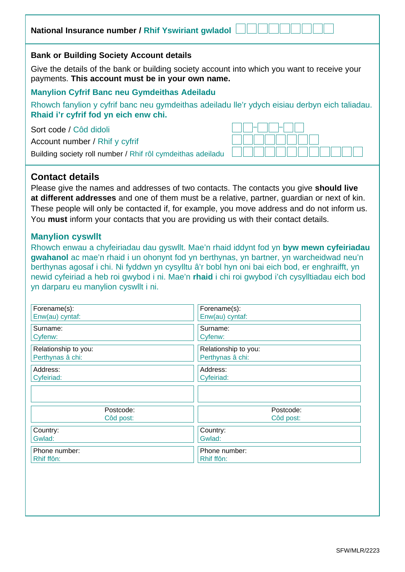| National Insurance number / Rhif Yswiriant gwladol                                                                                                                                             |  |
|------------------------------------------------------------------------------------------------------------------------------------------------------------------------------------------------|--|
| <b>Bank or Building Society Account details</b>                                                                                                                                                |  |
| Give the details of the bank or building society account into which you want to receive your<br>payments. This account must be in your own name.                                               |  |
| <b>Manylion Cyfrif Banc neu Gymdeithas Adeiladu</b><br>Rhowch fanylion y cyfrif banc neu gymdeithas adeiladu lle'r ydych eisiau derbyn eich taliadau.<br>Rhaid i'r cyfrif fod yn eich enw chi. |  |
| Sort code / Côd didoli<br>Account number / Rhif y cyfrif<br>Building society roll number / Rhif rôl cymdeithas adeiladu                                                                        |  |

# **Contact details**

Please give the names and addresses of two contacts. The contacts you give **should live at different addresses** and one of them must be a relative, partner, guardian or next of kin. These people will only be contacted if, for example, you move address and do not inform us. You **must** inform your contacts that you are providing us with their contact details.

## **Manylion cyswllt**

Rhowch enwau a chyfeiriadau dau gyswllt. Mae'n rhaid iddynt fod yn **byw mewn cyfeiriadau gwahanol** ac mae'n rhaid i un ohonynt fod yn berthynas, yn bartner, yn warcheidwad neu'n berthynas agosaf i chi. Ni fyddwn yn cysylltu â'r bobl hyn oni bai eich bod, er enghraifft, yn newid cyfeiriad a heb roi gwybod i ni. Mae'n **rhaid** i chi roi gwybod i'ch cysylltiadau eich bod yn darparu eu manylion cyswllt i ni.

| Forename(s):         | Forename(s):         |  |
|----------------------|----------------------|--|
| Enw(au) cyntaf:      | Enw(au) cyntaf:      |  |
| Surname:             | Surname:             |  |
| Cyfenw:              | Cyfenw:              |  |
| Relationship to you: | Relationship to you: |  |
| Perthynas â chi:     | Perthynas â chi:     |  |
| Address:             | Address:             |  |
| Cyfeiriad:           | Cyfeiriad:           |  |
|                      |                      |  |
| Postcode:            | Postcode:            |  |
| Côd post:            | Côd post:            |  |
| Country:             | Country:             |  |
| Gwlad:               | Gwlad:               |  |
| Phone number:        | Phone number:        |  |
| Rhif ffôn:           | Rhif ffôn:           |  |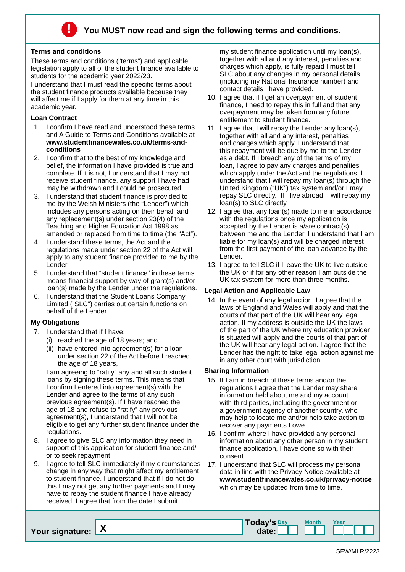

#### **Terms and conditions**

These terms and conditions ("terms") and applicable legislation apply to all of the student finance available to students for the academic year 2022/23.

I understand that I must read the specific terms about the student finance products available because they will affect me if I apply for them at any time in this academic year.

#### **Loan Contract**

- 1. I confirm I have read and understood these terms and A Guide to Terms and Conditions available at **www.studentfinancewales.co.uk/terms-andconditions**
- 2. I confirm that to the best of my knowledge and belief, the information I have provided is true and complete. If it is not, I understand that I may not receive student finance, any support I have had may be withdrawn and I could be prosecuted.
- 3. I understand that student finance is provided to me by the Welsh Ministers (the "Lender") which includes any persons acting on their behalf and any replacement(s) under section 23(4) of the Teaching and Higher Education Act 1998 as amended or replaced from time to time (the "Act").
- 4. I understand these terms, the Act and the regulations made under section 22 of the Act will apply to any student finance provided to me by the Lender.
- 5. I understand that "student finance" in these terms means financial support by way of grant(s) and/or loan(s) made by the Lender under the regulations.
- 6. I understand that the Student Loans Company Limited ("SLC") carries out certain functions on behalf of the Lender.

### **My Obligations**

- 7. I understand that if I have:
	- (i) reached the age of 18 years; and
	- (ii) have entered into agreement(s) for a loan under section 22 of the Act before I reached the age of 18 years,

I am agreeing to "ratify" any and all such student loans by signing these terms. This means that I confirm I entered into agreement(s) with the Lender and agree to the terms of any such previous agreement(s). If I have reached the age of 18 and refuse to "ratify" any previous agreement(s), I understand that I will not be eligible to get any further student finance under the regulations.

- 8. I agree to give SLC any information they need in support of this application for student finance and/ or to seek repayment.
- 9. I agree to tell SLC immediately if my circumstances change in any way that might affect my entitlement to student finance. I understand that if I do not do this I may not get any further payments and I may have to repay the student finance I have already received. I agree that from the date I submit

my student finance application until my loan(s), together with all and any interest, penalties and charges which apply, is fully repaid I must tell SLC about any changes in my personal details (including my National Insurance number) and contact details I have provided.

- 10. I agree that if I get an overpayment of student finance, I need to repay this in full and that any overpayment may be taken from any future entitlement to student finance.
- 11. I agree that I will repay the Lender any loan(s), together with all and any interest, penalties and charges which apply. I understand that this repayment will be due by me to the Lender as a debt. If I breach any of the terms of my loan, I agree to pay any charges and penalties which apply under the Act and the regulations. I understand that I will repay my loan(s) through the United Kingdom ("UK") tax system and/or I may repay SLC directly. If I live abroad, I will repay my loan(s) to SLC directly.
- 12. I agree that any loan(s) made to me in accordance with the regulations once my application is accepted by the Lender is a/are contract(s) between me and the Lender. I understand that I am liable for my loan(s) and will be charged interest from the first payment of the loan advance by the Lender.
- 13. I agree to tell SLC if I leave the UK to live outside the UK or if for any other reason I am outside the UK tax system for more than three months.

### **Legal Action and Applicable Law**

14. In the event of any legal action, I agree that the laws of England and Wales will apply and that the courts of that part of the UK will hear any legal action. If my address is outside the UK the laws of the part of the UK where my education provider is situated will apply and the courts of that part of the UK will hear any legal action. I agree that the Lender has the right to take legal action against me in any other court with jurisdiction.

#### **Sharing Information**

- 15. If I am in breach of these terms and/or the regulations I agree that the Lender may share information held about me and my account with third parties, including the government or a government agency of another country, who may help to locate me and/or help take action to recover any payments I owe.
- 16. I confirm where I have provided any personal information about any other person in my student finance application, I have done so with their consent.
- 17. I understand that SLC will process my personal data in line with the Privacy Notice available at **www.studentfinancewales.co.uk/privacy-notice**  which may be updated from time to time.

| Your signature: X | Today's Day<br>date: | <b>Month</b> | rear |
|-------------------|----------------------|--------------|------|
|                   |                      |              |      |